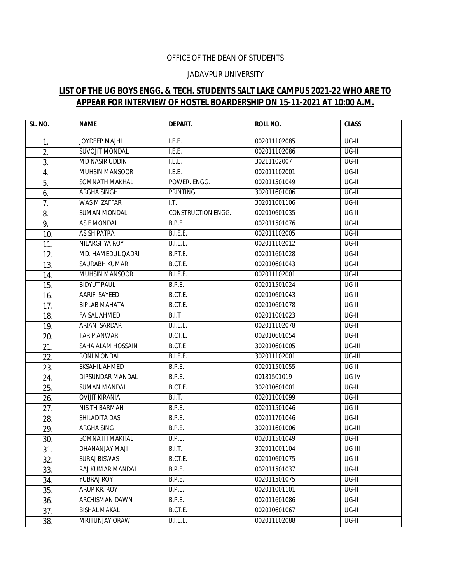## OFFICE OF THE DEAN OF STUDENTS

## JADAVPUR UNIVERSITY

## **LIST OF THE UG BOYS ENGG. & TECH. STUDENTS SALT LAKE CAMPUS 2021-22 WHO ARE TO APPEAR FOR INTERVIEW OF HOSTEL BOARDERSHIP ON 15-11-2021 AT 10:00 A.M.**

| $\overline{SL}$ . NO. | <b>NAME</b>           | <b>DEPART.</b>     | <b>ROLL NO.</b> | <b>CLASS</b> |
|-----------------------|-----------------------|--------------------|-----------------|--------------|
| 1.                    | <b>JOYDEEP MAJHI</b>  | LE.E.              | 002011102085    | $UG-II$      |
| 2.                    | SUVOJIT MONDAL        | LE.E.              | 002011102086    | $UG-II$      |
| $\overline{3}$ .      | <b>MD NASIR UDDIN</b> | $LEE$ .            | 30211102007     | $UG-II$      |
| 4.                    | <b>MUHSIN MANSOOR</b> | LE.E.              | 002011102001    | $UG-II$      |
| 5.                    | SOMNATH MAKHAL        | POWER. ENGG.       | 002011501049    | $UG-II$      |
| 6.                    | <b>ARGHA SINGH</b>    | <b>PRINTING</b>    | 302011601006    | $UG-II$      |
| 7.                    | <b>WASIM ZAFFAR</b>   | LT.                | 302011001106    | $UG-II$      |
| 8.                    | <b>SUMAN MONDAL</b>   | CONSTRUCTION ENGG. | 002010601035    | UG-II        |
| 9.                    | <b>ASIF MONDAL</b>    | B.P.E              | 002011501076    | $UG-II$      |
| 10.                   | <b>ASISH PATRA</b>    | <b>B.I.E.E.</b>    | 002011102005    | $UG-II$      |
| 11.                   | NILARGHYA ROY         | <b>B.I.E.E.</b>    | 002011102012    | $UG-II$      |
| 12.                   | MD. HAMEDUL QADRI     | B.PT.E.            | 002011601028    | $UG-II$      |
| 13.                   | SAURABH KUMAR         | B.CT.E.            | 002010601043    | $UG-II$      |
| 14.                   | MUHSIN MANSOOR        | <b>B.I.E.E.</b>    | 002011102001    | $UG-II$      |
| 15.                   | <b>BIDYUT PAUL</b>    | B.P.E.             | 002011501024    | UG-II        |
| 16.                   | AARIF SAYEED          | B.CT.E.            | 002010601043    | $UG-II$      |
| 17.                   | <b>BIPLAB MAHATA</b>  | B.CT.E.            | 002010601078    | $UG-II$      |
| 18.                   | <b>FAISAL AHMED</b>   | B.I.T              | 002011001023    | $UG-II$      |
| 19.                   | <b>ARIAN SARDAR</b>   | <b>B.I.E.E.</b>    | 002011102078    | $UG-II$      |
| 20.                   | <b>TARIP ANWAR</b>    | B.CT.E.            | 002010601054    | $UG-II$      |
| 21.                   | SAHA ALAM HOSSAIN     | B.CT.E             | 302010601005    | UG-III       |
| 22.                   | <b>RONI MONDAL</b>    | <b>B.I.E.E.</b>    | 302011102001    | UG-III       |
| 23.                   | SKSAHIL AHMED         | B.P.E.             | 002011501055    | UG-II        |
| 24.                   | DIPSUNDAR MANDAL      | B.P.E.             | 00181501019     | UG-IV        |
| 25.                   | <b>SUMAN MANDAL</b>   | B.CT.E.            | 302010601001    | $UG-II$      |
| 26.                   | <b>OVIJIT KIRANIA</b> | B.I.T.             | 002011001099    | $UG-II$      |
| 27.                   | NISITH BARMAN         | B.P.E.             | 002011501046    | UG-II        |
| 28.                   | SHILADITA DAS         | B.P.E.             | 002011701046    | $UG-II$      |
| 29.                   | ARGHA SING            | B.P.E.             | 302011601006    | $UG-III$     |
| 30.                   | SOMNATH MAKHAL        | B.P.E.             | 002011501049    | UG-II        |
| $\overline{31}$ .     | DHANANJAY MAJI        | B.I.T.             | 302011001104    | UG-III       |
| 32.                   | <b>SURAJ BISWAS</b>   | B.CT.E.            | 002010601075    | UG-II        |
| 33.                   | RAJ KUMAR MANDAL      | B.P.E.             | 002011501037    | UG-II        |
| 34.                   | YUBRAJ ROY            | B.P.E.             | 002011501075    | UG-II        |
| 35.                   | ARUP KR. ROY          | B.P.E.             | 002011001101    | $UG-II$      |
| 36.                   | ARCHISMAN DAWN        | B.P.E.             | 002011601086    | UG-II        |
| 37.                   | <b>BISHAL MAKAL</b>   | B.CT.E.            | 002010601067    | UG-II        |
| 38.                   | MRITUNJAY ORAW        | B.I.E.E.           | 002011102088    | UG-II        |